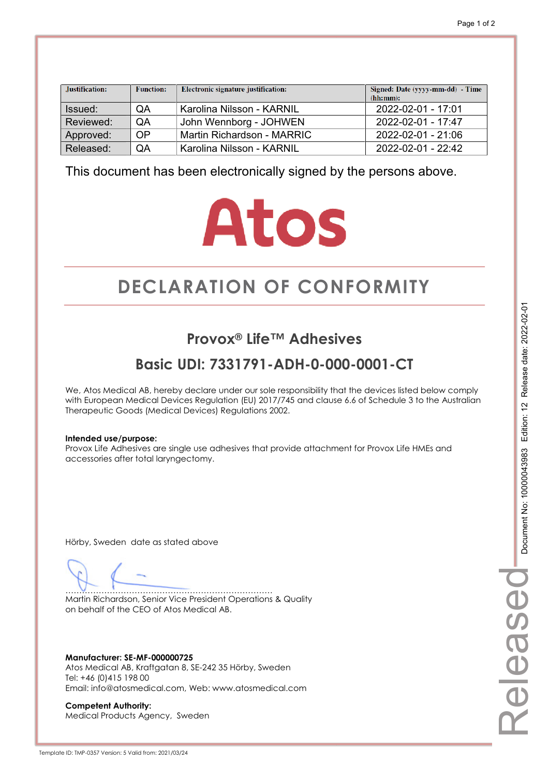| Justification: | <b>Function:</b> | Electronic signature justification: | Signed: Date (yyyy-mm-dd) - Time<br>(hh:mm): |
|----------------|------------------|-------------------------------------|----------------------------------------------|
| Issued:        | QA               | Karolina Nilsson - KARNIL           | 2022-02-01 - 17:01                           |
| Reviewed:      | QA               | John Wennborg - JOHWEN              | 2022-02-01 - 17:47                           |
| Approved:      | <b>OP</b>        | Martin Richardson - MARRIC          | 2022-02-01 - 21:06                           |
| Released:      | QA               | Karolina Nilsson - KARNIL           | $2022 - 02 - 01 - 22.42$                     |

## **Atos**

## **DECLARATION OF CONFORMITY CONFORMITY**

#### **Provox® Life™ Adhesives**

#### **Basic UDI: 7331791-ADH-0-000-0001-CT**

We, Atos Medical AB, hereby declare under our sole responsibility that the devices listed below comply with European Medical Devices Regulation (EU) 2017/745 and clause 6.6 of Schedule 3 to the Australian Therapeutic Goods (Medical Devices) Regulations 2002.

#### **Intended use/purpose:**

Provox Life Adhesives are single use adhesives that provide attachment for Provox Life HMEs and accessories after total laryngectomy.

Hörby, Sweden date as stated above

………………………………………………………………… Martin Richardson, Senior Vice President Operations & Quality on behalf of the CEO of Atos Medical AB.

**Manufacturer: SE-MF-000000725**  Atos Medical AB, Kraftgatan 8, SE-242 35 Hörby, Sweden Tel: +46 (0)415 198 00 Email: info@atosmedical.com, Web: www.atosmedical.com

**Competent Authority:**  Medical Products Agency, Sweden Released

eleased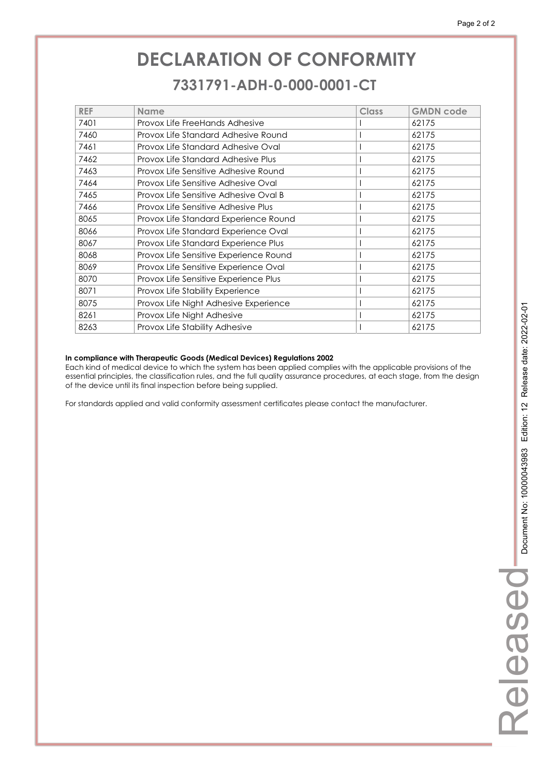### **DECLARATION OF CONFORMITY CONFORMITY 7331791-ADH-0-000-0001-CT 7331791-ADH-0-000-0001-CT**

| <b>REF</b> | <b>Name</b>                            | Class | <b>GMDN</b> code |
|------------|----------------------------------------|-------|------------------|
| 7401       | Provox Life FreeHands Adhesive         |       | 62175            |
| 7460       | Provox Life Standard Adhesive Round    |       | 62175            |
| 7461       | Provox Life Standard Adhesive Oval     |       | 62175            |
| 7462       | Provox Life Standard Adhesive Plus     |       | 62175            |
| 7463       | Provox Life Sensitive Adhesive Round   |       | 62175            |
| 7464       | Provox Life Sensitive Adhesive Oval    |       | 62175            |
| 7465       | Provox Life Sensitive Adhesive Oval B  |       | 62175            |
| 7466       | Provox Life Sensitive Adhesive Plus    |       | 62175            |
| 8065       | Provox Life Standard Experience Round  |       | 62175            |
| 8066       | Provox Life Standard Experience Oval   |       | 62175            |
| 8067       | Provox Life Standard Experience Plus   |       | 62175            |
| 8068       | Provox Life Sensitive Experience Round |       | 62175            |
| 8069       | Provox Life Sensitive Experience Oval  |       | 62175            |
| 8070       | Provox Life Sensitive Experience Plus  |       | 62175            |
| 8071       | Provox Life Stability Experience       |       | 62175            |
| 8075       | Provox Life Night Adhesive Experience  |       | 62175            |
| 8261       | Provox Life Night Adhesive             |       | 62175            |
| 8263       | Provox Life Stability Adhesive         |       | 62175            |

#### **In compliance with Therapeutic Goods (Medical Devices) Regulations 2002**

Each kind of medical device to which the system has been applied complies with the applicable provisions of the essential principles, the classification rules, and the full quality assurance procedures, at each stage, from the design of the device until its final inspection before being supplied.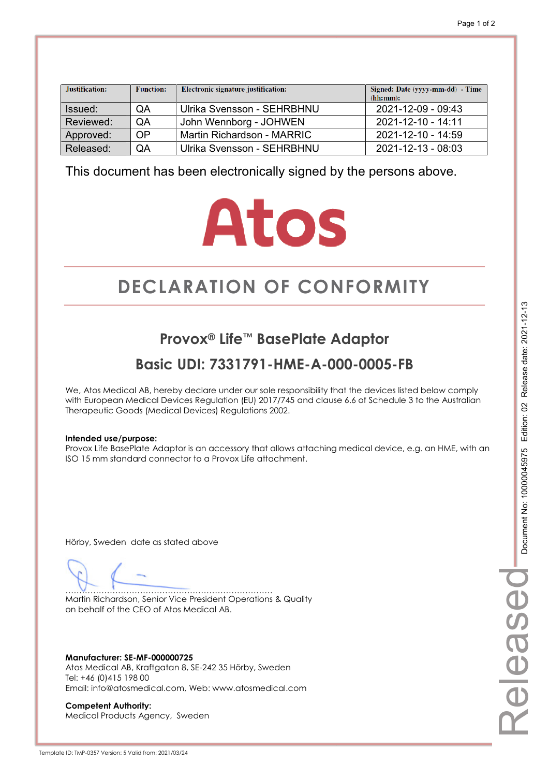| Justification: | <b>Function:</b> | Electronic signature justification: | Signed: Date (yyyy-mm-dd) - Time<br>(hh:mm): |
|----------------|------------------|-------------------------------------|----------------------------------------------|
| Issued:        | QA               | Ulrika Svensson - SEHRBHNU          | 2021-12-09 - 09:43                           |
| Reviewed:      | QA               | John Wennborg - JOHWEN              | $2021 - 12 - 10 - 14.11$                     |
| Approved:      | OP               | Martin Richardson - MARRIC          | 2021-12-10 - 14:59                           |
| Released:      | QA               | Ulrika Svensson - SEHRBHNU          | 2021-12-13 - 08:03                           |

## **Atos**

## **DECLARATION OF CONFORMITY CONFORMITY**

#### **Provox® Life™ BasePlate Adaptor**

#### **Basic UDI: 7331791-HME-A-000-0005-FB**

We, Atos Medical AB, hereby declare under our sole responsibility that the devices listed below comply with European Medical Devices Regulation (EU) 2017/745 and clause 6.6 of Schedule 3 to the Australian Therapeutic Goods (Medical Devices) Regulations 2002.

#### **Intended use/purpose:**

Provox Life BasePlate Adaptor is an accessory that allows attaching medical device, e.g. an HME, with an ISO 15 mm standard connector to a Provox Life attachment.

Hörby, Sweden date as stated above

………………………………………………………………… Martin Richardson, Senior Vice President Operations & Quality on behalf of the CEO of Atos Medical AB.

**Manufacturer: SE-MF-000000725**  Atos Medical AB, Kraftgatan 8, SE-242 35 Hörby, Sweden Tel: +46 (0)415 198 00 Email: info@atosmedical.com, Web: www.atosmedical.com

**Competent Authority:**  Medical Products Agency, Sweden

# Releasedelease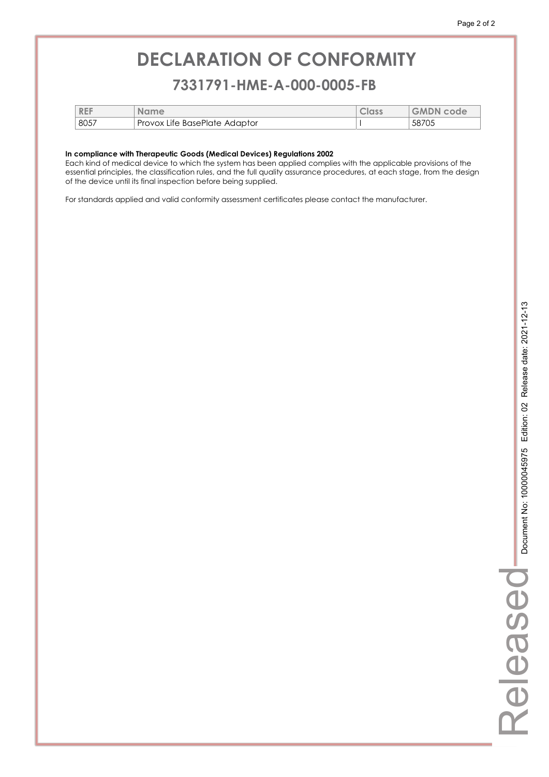#### **7331791-HME-A-000-0005-FB 7331791-HME-A-000-0005-FB**

| <b>REF</b> | <b>Name</b>                   | Class | <b>GMDN code</b> |
|------------|-------------------------------|-------|------------------|
| 8057       | Provox Life BasePlate Adaptor |       | 58705            |

#### **In compliance with Therapeutic Goods (Medical Devices) Regulations 2002**

Each kind of medical device to which the system has been applied complies with the applicable provisions of the essential principles, the classification rules, and the full quality assurance procedures, at each stage, from the design of the device until its final inspection before being supplied.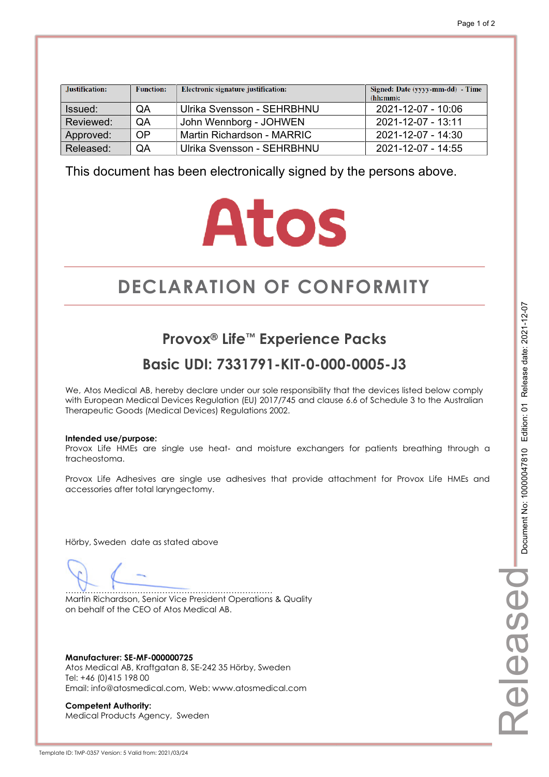| Justification: | <b>Function:</b> | <b>Electronic signature justification:</b> | Signed: Date (yyyy-mm-dd) - Time<br>(hh:mm): |
|----------------|------------------|--------------------------------------------|----------------------------------------------|
| Issued:        | QA               | Ulrika Svensson - SEHRBHNU                 | 2021-12-07 - 10:06                           |
| Reviewed:      | QA               | John Wennborg - JOHWEN                     | 2021-12-07 - 13:11                           |
| Approved:      | <b>OP</b>        | Martin Richardson - MARRIC                 | 2021-12-07 - 14:30                           |
| Released:      | QA               | Ulrika Svensson - SEHRBHNU                 | 2021-12-07 - 14:55                           |

## **Atos**

## **DECLARATION OF CONFORMITY CONFORMITY**

#### **Provox® Life™ Experience Packs**

#### **Basic UDI: 7331791-KIT-0-000-0005-J3**

We, Atos Medical AB, hereby declare under our sole responsibility that the devices listed below comply with European Medical Devices Regulation (EU) 2017/745 and clause 6.6 of Schedule 3 to the Australian Therapeutic Goods (Medical Devices) Regulations 2002.

#### **Intended use/purpose:**

Provox Life HMEs are single use heat- and moisture exchangers for patients breathing through a tracheostoma.

Provox Life Adhesives are single use adhesives that provide attachment for Provox Life HMEs and accessories after total laryngectomy.

Hörby, Sweden date as stated above

………………………………………………………………… Martin Richardson, Senior Vice President Operations & Quality on behalf of the CEO of Atos Medical AB.

**Manufacturer: SE-MF-000000725**  Atos Medical AB, Kraftgatan 8, SE-242 35 Hörby, Sweden Tel: +46 (0)415 198 00 Email: info@atosmedical.com, Web: www.atosmedical.com

**Competent Authority:**  Medical Products Agency, Sweden

Template ID: TMP-0357 Version: 5 Valid from: 2021/03/24

Released

elease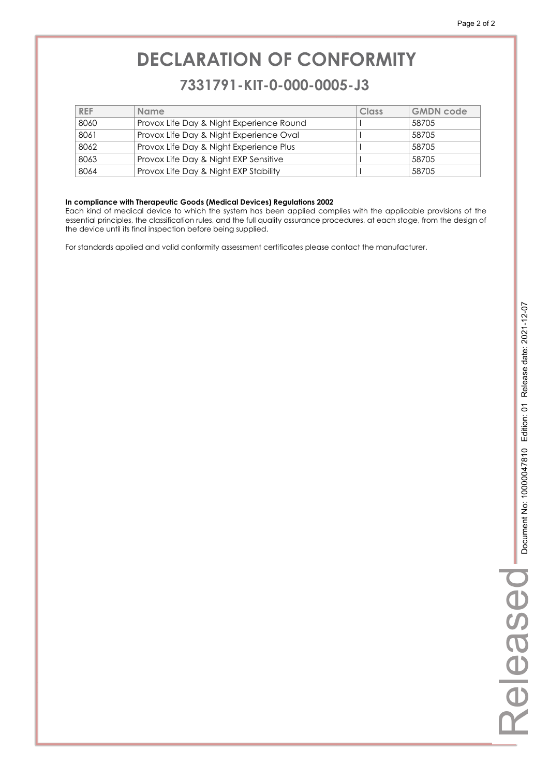#### **7331791-KIT-0-000-0005-J3 7331791-KIT-0-000-0005-J3**

| <b>REF</b> | <b>Name</b>                              | Class | <b>GMDN code</b> |
|------------|------------------------------------------|-------|------------------|
| 8060       | Provox Life Day & Night Experience Round |       | 58705            |
| 8061       | Provox Life Day & Night Experience Oval  |       | 58705            |
| 8062       | Provox Life Day & Night Experience Plus  |       | 58705            |
| 8063       | Provox Life Day & Night EXP Sensitive    |       | 58705            |
| 8064       | Provox Life Day & Night EXP Stability    |       | 58705            |

#### **In compliance with Therapeutic Goods (Medical Devices) Regulations 2002**

Each kind of medical device to which the system has been applied complies with the applicable provisions of the essential principles, the classification rules, and the full quality assurance procedures, at each stage, from the design of the device until its final inspection before being supplied.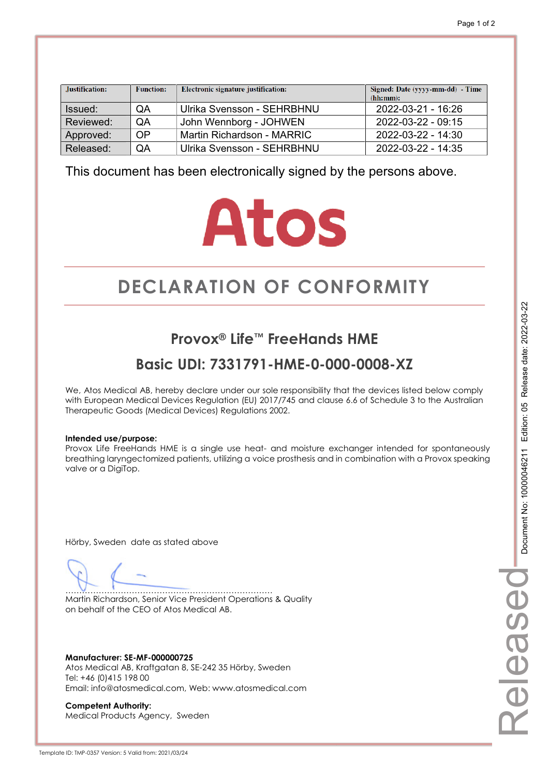| Justification: | <b>Function:</b> | Electronic signature justification: | Signed: Date (yyyy-mm-dd) - Time<br>(hh:mm): |
|----------------|------------------|-------------------------------------|----------------------------------------------|
| Issued:        | QA               | Ulrika Svensson - SEHRBHNU          | 2022-03-21 - 16:26                           |
| Reviewed:      | QA               | John Wennborg - JOHWEN              | 2022-03-22 - 09:15                           |
| Approved:      | OP               | Martin Richardson - MARRIC          | $2022 - 03 - 22 - 14:30$                     |
| Released:      | QA               | Ulrika Svensson - SEHRBHNU          | 2022-03-22 - 14:35                           |

## **Atos**

## **DECLARATION OF CONFORMITY CONFORMITY**

#### **Provox® Life™ FreeHands HME**

#### **Basic UDI: 7331791-HME-0-000-0008-XZ**

We, Atos Medical AB, hereby declare under our sole responsibility that the devices listed below comply with European Medical Devices Regulation (EU) 2017/745 and clause 6.6 of Schedule 3 to the Australian Therapeutic Goods (Medical Devices) Regulations 2002.

#### **Intended use/purpose:**

Provox Life FreeHands HME is a single use heat- and moisture exchanger intended for spontaneously breathing laryngectomized patients, utilizing a voice prosthesis and in combination with a Provox speaking valve or a DigiTop.

Hörby, Sweden date as stated above

………………………………………………………………… Martin Richardson, Senior Vice President Operations & Quality on behalf of the CEO of Atos Medical AB.

**Manufacturer: SE-MF-000000725**  Atos Medical AB, Kraftgatan 8, SE-242 35 Hörby, Sweden Tel: +46 (0)415 198 00 Email: info@atosmedical.com, Web: www.atosmedical.com

**Competent Authority:**  Medical Products Agency, Sweden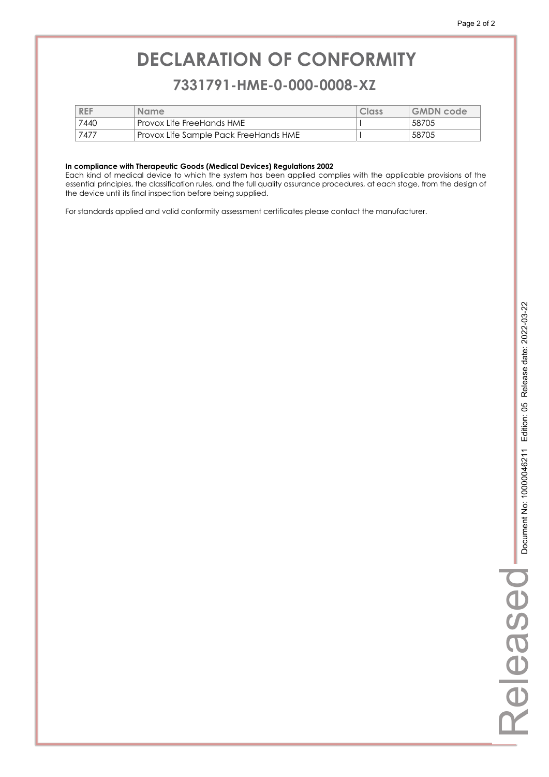#### **7331791-HME-0-000-0008-XZ 7331791-HME-0-000-0008-XZ**

| <b>REF</b> | <b>Name</b>                           | Class | <b>GMDN</b> code |
|------------|---------------------------------------|-------|------------------|
| 7440       | ' Provox Life FreeHands HME           |       | 58705            |
| 7477       | Provox Life Sample Pack FreeHands HME |       | 58705            |

#### **In compliance with Therapeutic Goods (Medical Devices) Regulations 2002**

Each kind of medical device to which the system has been applied complies with the applicable provisions of the essential principles, the classification rules, and the full quality assurance procedures, at each stage, from the design of the device until its final inspection before being supplied.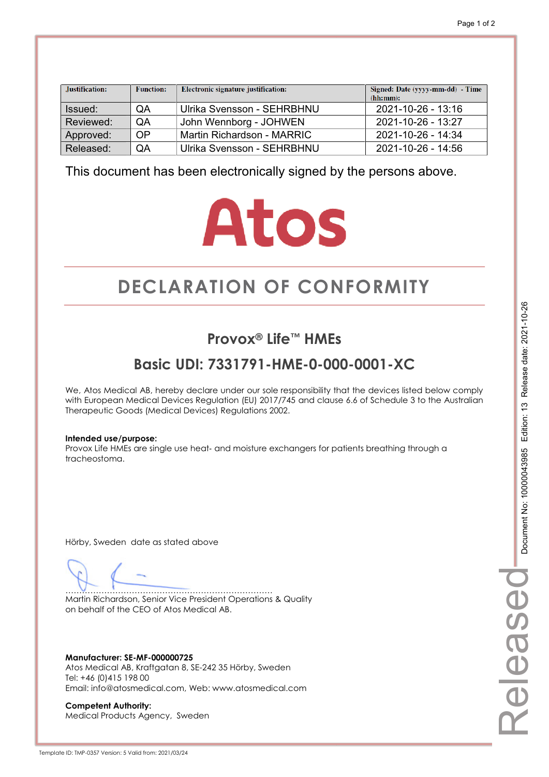| Justification: | <b>Function:</b> | Electronic signature justification: | Signed: Date (yyyy-mm-dd) - Time<br>(hh:mm): |
|----------------|------------------|-------------------------------------|----------------------------------------------|
| Issued:        | QA               | Ulrika Svensson - SEHRBHNU          | 2021-10-26 - 13:16                           |
| Reviewed:      | QA               | John Wennborg - JOHWEN              | $2021 - 10 - 26 - 13.27$                     |
| Approved:      | OP               | Martin Richardson - MARRIC          | 2021-10-26 - 14:34                           |
| Released:      | QA               | Ulrika Svensson - SEHRBHNU          | 2021-10-26 - 14:56                           |

## **Atos**

## **DECLARATION OF CONFORMITY CONFORMITY**

#### **Provox® Life™ HMEs**

#### **Basic UDI: 7331791-HME-0-000-0001-XC**

We, Atos Medical AB, hereby declare under our sole responsibility that the devices listed below comply with European Medical Devices Regulation (EU) 2017/745 and clause 6.6 of Schedule 3 to the Australian Therapeutic Goods (Medical Devices) Regulations 2002.

#### **Intended use/purpose:**

Provox Life HMEs are single use heat- and moisture exchangers for patients breathing through a tracheostoma.

Hörby, Sweden date as stated above

………………………………………………………………… Martin Richardson, Senior Vice President Operations & Quality on behalf of the CEO of Atos Medical AB.

**Manufacturer: SE-MF-000000725**  Atos Medical AB, Kraftgatan 8, SE-242 35 Hörby, Sweden Tel: +46 (0)415 198 00 Email: info@atosmedical.com, Web: www.atosmedical.com

**Competent Authority:**  Medical Products Agency, Sweden Released

eleasec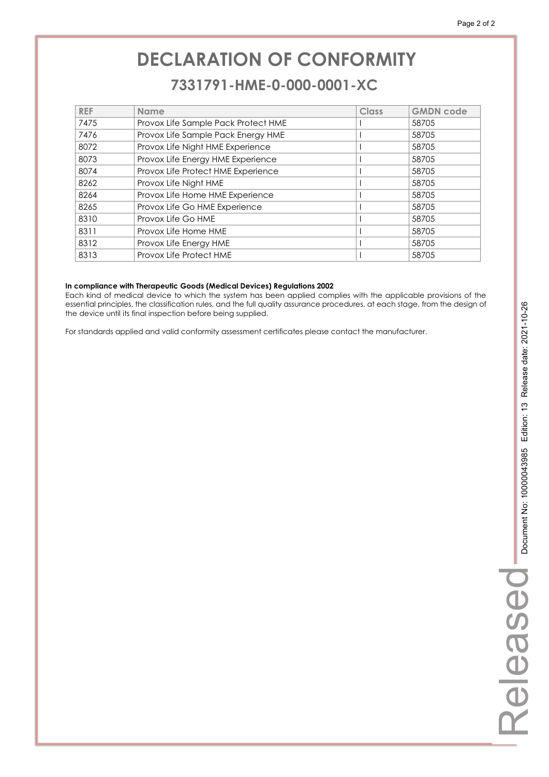#### **7331791-HME-0-000-0001-XC 7331791-HME-0-000-0001-XC**

| <b>REF</b> | <b>Name</b>                         | Class | <b>GMDN</b> code |
|------------|-------------------------------------|-------|------------------|
| 7475       | Provox Life Sample Pack Protect HME |       | 58705            |
| 7476       | Provox Life Sample Pack Energy HME  |       | 58705            |
| 8072       | Provox Life Night HME Experience    |       | 58705            |
| 8073       | Provox Life Energy HME Experience   |       | 58705            |
| 8074       | Provox Life Protect HME Experience  |       | 58705            |
| 8262       | Provox Life Night HME               |       | 58705            |
| 8264       | Provox Life Home HME Experience     |       | 58705            |
| 8265       | Provox Life Go HME Experience       |       | 58705            |
| 8310       | Provox Life Go HME                  |       | 58705            |
| 8311       | Provox Life Home HME                |       | 58705            |
| 8312       | Provox Life Energy HME              |       | 58705            |
| 8313       | Provox Life Protect HME             |       | 58705            |

#### **In compliance with Therapeutic Goods (Medical Devices) Regulations 2002**

Each kind of medical device to which the system has been applied complies with the applicable provisions of the essential principles, the classification rules, and the full quality assurance procedures, at each stage, from the design of the device until its final inspection before being supplied.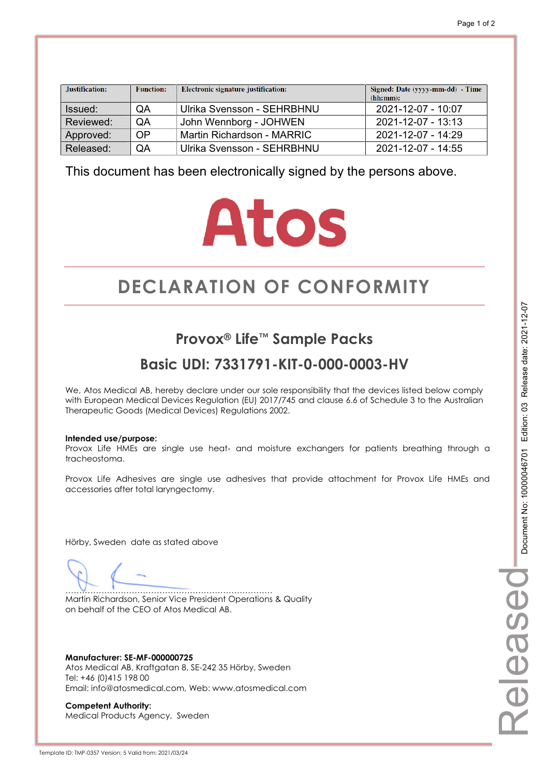| Justification: | <b>Function:</b> | Electronic signature justification: | Signed: Date (yyyy-mm-dd) - Time<br>(hh:mm): |
|----------------|------------------|-------------------------------------|----------------------------------------------|
| Issued:        | QA               | Ulrika Svensson - SEHRBHNU          | 2021-12-07 - 10:07                           |
| Reviewed:      | QA               | John Wennborg - JOHWEN              | 2021-12-07 - 13:13                           |
| Approved:      | 0P               | Martin Richardson - MARRIC          | 2021-12-07 - 14:29                           |
| Released:      | QA               | Ulrika Svensson - SEHRBHNU          | 2021-12-07 - 14:55                           |

## **Atos**

## **DECLARATION OF CONFORMITY CONFORMITY**

#### **Provox® Life™ Sample Packs**

#### **Basic UDI: 7331791-KIT-0-000-0003-HV**

We, Atos Medical AB, hereby declare under our sole responsibility that the devices listed below comply with European Medical Devices Regulation (EU) 2017/745 and clause 6.6 of Schedule 3 to the Australian Therapeutic Goods (Medical Devices) Regulations 2002.

#### **Intended use/purpose:**

Provox Life HMEs are single use heat- and moisture exchangers for patients breathing through a tracheostoma.

Provox Life Adhesives are single use adhesives that provide attachment for Provox Life HMEs and accessories after total laryngectomy.

Hörby, Sweden date as stated above

………………………………………………………………… Martin Richardson, Senior Vice President Operations & Quality on behalf of the CEO of Atos Medical AB.

**Manufacturer: SE-MF-000000725**  Atos Medical AB, Kraftgatan 8, SE-242 35 Hörby, Sweden Tel: +46 (0)415 198 00 Email: info@atosmedical.com, Web: www.atosmedical.com

**Competent Authority:**  Medical Products Agency, Sweden Released

elease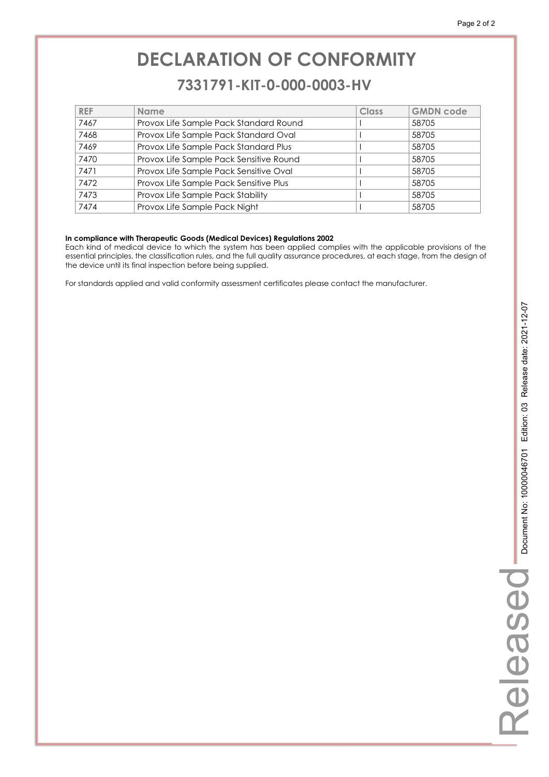#### **7331791-KIT-0-000-0003-HV 7331791-KIT-0-000-0003-HV**

| <b>REF</b> | <b>Name</b>                             | Class | <b>GMDN code</b> |
|------------|-----------------------------------------|-------|------------------|
| 7467       | Provox Life Sample Pack Standard Round  |       | 58705            |
| 7468       | Provox Life Sample Pack Standard Oval   |       | 58705            |
| 7469       | Provox Life Sample Pack Standard Plus   |       | 58705            |
| 7470       | Provox Life Sample Pack Sensitive Round |       | 58705            |
| 7471       | Provox Life Sample Pack Sensitive Oval  |       | 58705            |
| 7472       | Provox Life Sample Pack Sensitive Plus  |       | 58705            |
| 7473       | Provox Life Sample Pack Stability       |       | 58705            |
| 7474       | Provox Life Sample Pack Night           |       | 58705            |

#### **In compliance with Therapeutic Goods (Medical Devices) Regulations 2002**

Each kind of medical device to which the system has been applied complies with the applicable provisions of the essential principles, the classification rules, and the full quality assurance procedures, at each stage, from the design of the device until its final inspection before being supplied.

For standards applied and valid conformity assessment certificates please contact the manufacturer.

Released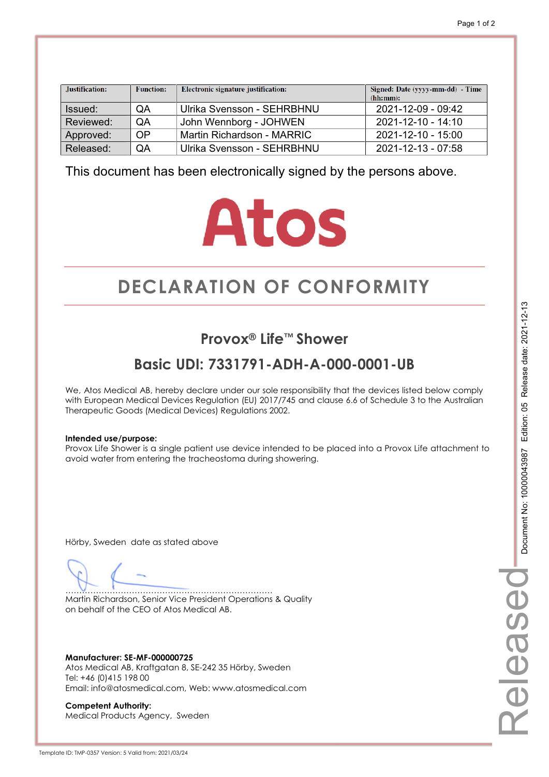| Justification: | <b>Function:</b> | Electronic signature justification: | Signed: Date (yyyy-mm-dd) - Time<br>(hh:mm): |  |
|----------------|------------------|-------------------------------------|----------------------------------------------|--|
| Issued:        | QA               | Ulrika Svensson - SEHRBHNU          | 2021-12-09 - 09:42                           |  |
| Reviewed:      | QA               | John Wennborg - JOHWEN              | $2021 - 12 - 10 - 14.10$                     |  |
| Approved:      | OP               | Martin Richardson - MARRIC          | 2021-12-10 - 15:00                           |  |
| Released:      | QA               | Ulrika Svensson - SEHRBHNU          | 2021-12-13 - 07:58                           |  |

## **Atos**

## **DECLARATION OF CONFORMITY CONFORMITY**

#### **Provox® Life™ Shower**

#### **Basic UDI: 7331791-ADH-A-000-0001-UB**

We, Atos Medical AB, hereby declare under our sole responsibility that the devices listed below comply with European Medical Devices Regulation (EU) 2017/745 and clause 6.6 of Schedule 3 to the Australian Therapeutic Goods (Medical Devices) Regulations 2002.

#### **Intended use/purpose:**

Provox Life Shower is a single patient use device intended to be placed into a Provox Life attachment to avoid water from entering the tracheostoma during showering.

Hörby, Sweden date as stated above

………………………………………………………………… Martin Richardson, Senior Vice President Operations & Quality on behalf of the CEO of Atos Medical AB.

**Manufacturer: SE-MF-000000725**  Atos Medical AB, Kraftgatan 8, SE-242 35 Hörby, Sweden Tel: +46 (0)415 198 00 Email: info@atosmedical.com, Web: www.atosmedical.com

**Competent Authority:**  Medical Products Agency, Sweden